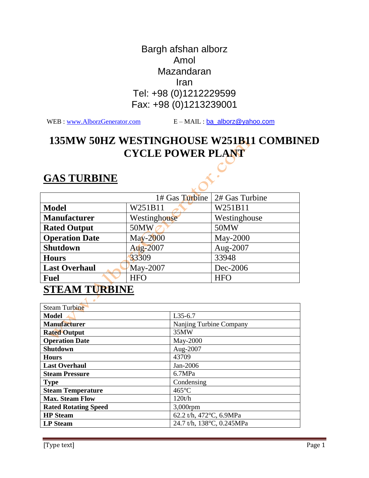Bargh afshan alborz Amol Mazandaran Iran Tel: +98 (0)1212229599 Fax: +98 (0)1213239001

WEB : [www.AlborzGenerator.com](http://www.alborzgenerator.com/) <br>E – MAIL : [ba\\_alborz@yahoo.com](mailto:ba_alborz@yahoo.com)

 $\boldsymbol{\gamma}^{\text{c}}$ 

## **135MW 50HZ WESTINGHOUSE W251B11 COMBINED CYCLE POWER PLANT**

## **GAS TURBINE**

|                       |              | 1# Gas Turbine   2# Gas Turbine |
|-----------------------|--------------|---------------------------------|
| <b>Model</b>          | W251B11      | W251B11                         |
| <b>Manufacturer</b>   | Westinghouse | Westinghouse                    |
| <b>Rated Output</b>   | 50MW         | 50MW                            |
| <b>Operation Date</b> | May-2000     | May-2000                        |
| <b>Shutdown</b>       | Aug-2007     | Aug-2007                        |
| <b>Hours</b>          | 33309        | 33948                           |
| <b>Last Overhaul</b>  | May-2007     | Dec-2006                        |
| <b>Fuel</b>           | <b>HFO</b>   | <b>HFO</b>                      |
|                       |              |                                 |

#### **STEAM TURBINE**

| <b>Steam Turbine</b>        |                           |
|-----------------------------|---------------------------|
| <b>Model</b>                | $L35-6.7$                 |
| <b>Manufacturer</b>         | Nanjing Turbine Company   |
| <b>Rated Output</b>         | 35MW                      |
| <b>Operation Date</b>       | May-2000                  |
| <b>Shutdown</b>             | Aug-2007                  |
| <b>Hours</b>                | 43709                     |
| <b>Last Overhaul</b>        | Jan-2006                  |
| <b>Steam Pressure</b>       | 6.7MPa                    |
| <b>Type</b>                 | Condensing                |
| <b>Steam Temperature</b>    | $465^{\circ}$ C           |
| <b>Max. Steam Flow</b>      | 120t/h                    |
| <b>Rated Rotating Speed</b> | 3,000rpm                  |
| <b>HP</b> Steam             | 62.2 t/h, 472°C, 6.9MPa   |
| <b>LP</b> Steam             | 24.7 t/h, 138°C, 0.245MPa |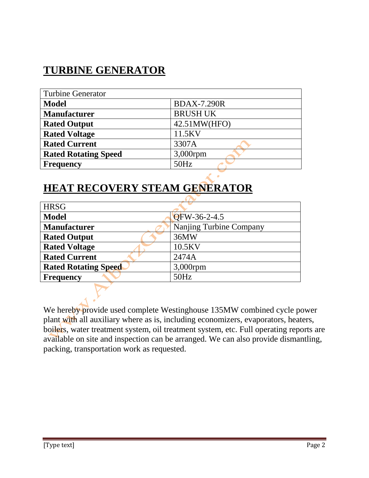# **TURBINE GENERATOR**

| <b>Turbine Generator</b>    |                    |
|-----------------------------|--------------------|
| <b>Model</b>                | <b>BDAX-7.290R</b> |
| <b>Manufacturer</b>         | <b>BRUSH UK</b>    |
| <b>Rated Output</b>         | 42.51MW(HFO)       |
| <b>Rated Voltage</b>        | 11.5KV             |
| <b>Rated Current</b>        | 3307A              |
| <b>Rated Rotating Speed</b> | 3,000rpm           |
| <b>Frequency</b>            | 50Hz               |
|                             |                    |

## **HEAT RECOVERY STEAM GENERATOR**

| <b>HRSG</b>                 |                         |
|-----------------------------|-------------------------|
| <b>Model</b>                | QFW-36-2-4.5            |
| <b>Manufacturer</b>         | Nanjing Turbine Company |
| <b>Rated Output</b>         | 36MW                    |
| <b>Rated Voltage</b>        | 10.5KV                  |
| <b>Rated Current</b>        | 2474A                   |
| <b>Rated Rotating Speed</b> | 3,000rpm                |
| <b>Frequency</b>            | 50Hz                    |

We hereby provide used complete Westinghouse 135MW combined cycle power plant with all auxiliary where as is, including economizers, evaporators, heaters, boilers, water treatment system, oil treatment system, etc. Full operating reports are available on site and inspection can be arranged. We can also provide dismantling, packing, transportation work as requested.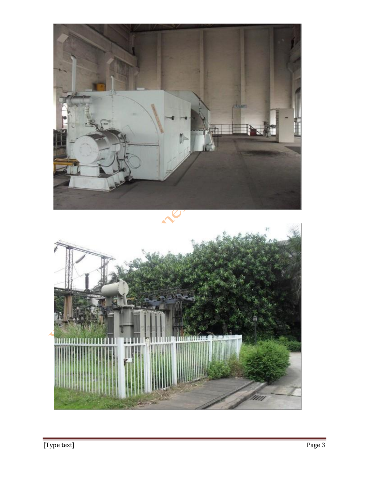